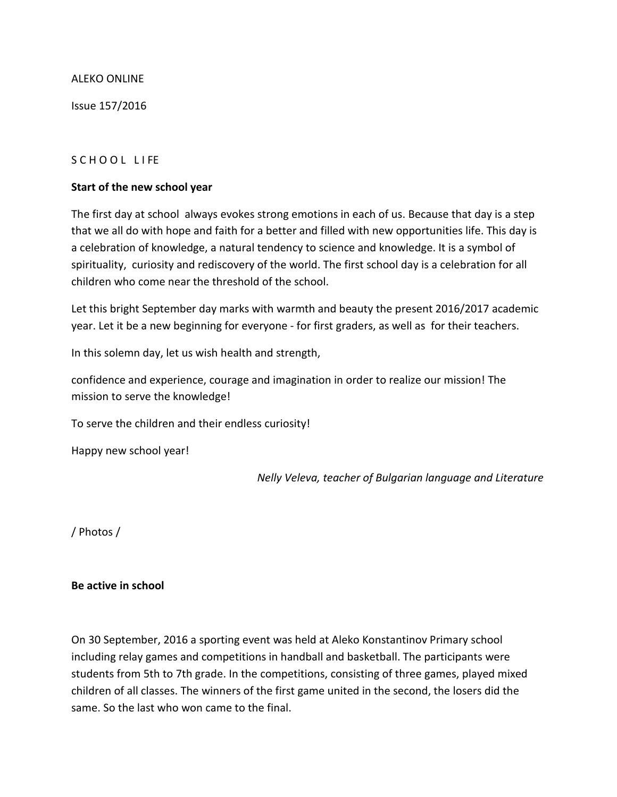#### ALEKO ONLINE

Issue 157/2016

#### S C HOOL LIFE

#### **Start of the new school year**

The first day at school always evokes strong emotions in each of us. Because that day is a step that we all do with hope and faith for a better and filled with new opportunities life. This day is a celebration of knowledge, a natural tendency to science and knowledge. It is a symbol of spirituality, curiosity and rediscovery of the world. The first school day is a celebration for all children who come near the threshold of the school.

Let this bright September day marks with warmth and beauty the present 2016/2017 academic year. Let it be a new beginning for everyone - for first graders, as well as for their teachers.

In this solemn day, let us wish health and strength,

confidence and experience, courage and imagination in order to realize our mission! The mission to serve the knowledge!

To serve the children and their endless curiosity!

Happy new school year!

*Nelly Veleva, teacher of Bulgarian language and Literature*

/ Photos /

#### **Be active in school**

On 30 September, 2016 a sporting event was held at Aleko Konstantinov Primary school including relay games and competitions in handball and basketball. The participants were students from 5th to 7th grade. In the competitions, consisting of three games, played mixed children of all classes. The winners of the first game united in the second, the losers did the same. So the last who won came to the final.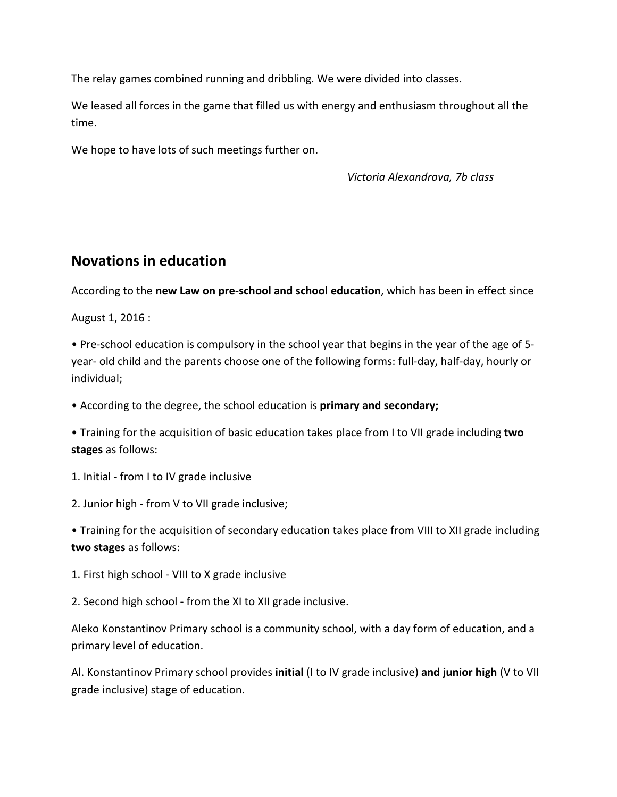The relay games combined running and dribbling. We were divided into classes.

We leased all forces in the game that filled us with energy and enthusiasm throughout all the time.

We hope to have lots of such meetings further on.

 *Victoria Alexandrova, 7b class*

# **Novations in education**

According to the **new Law on pre-school and school education**, which has been in effect since

August 1, 2016 :

• Pre-school education is compulsory in the school year that begins in the year of the age of 5 year- old child and the parents choose one of the following forms: full-day, half-day, hourly or individual;

• According to the degree, the school education is **primary and secondary;**

• Training for the acquisition of basic education takes place from I to VII grade including **two stages** as follows:

- 1. Initial from I to IV grade inclusive
- 2. Junior high from V to VII grade inclusive;

• Training for the acquisition of secondary education takes place from VIII to XII grade including **two stages** as follows:

- 1. First high school VIII to X grade inclusive
- 2. Second high school from the XI to XII grade inclusive.

Aleko Konstantinov Primary school is a community school, with a day form of education, and a primary level of education.

Al. Konstantinov Primary school provides **initial** (I to IV grade inclusive) **and junior high** (V to VII grade inclusive) stage of education.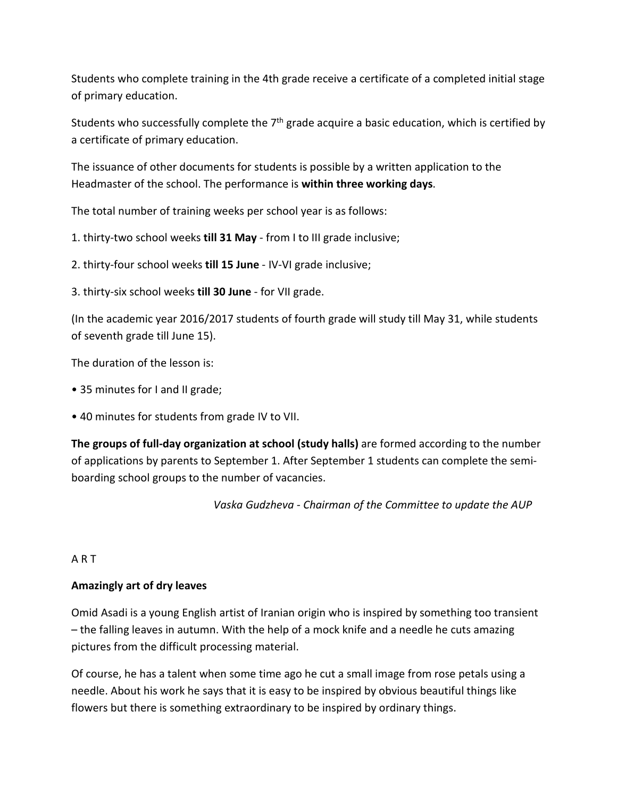Students who complete training in the 4th grade receive a certificate of a completed initial stage of primary education.

Students who successfully complete the 7<sup>th</sup> grade acquire a basic education, which is certified by a certificate of primary education.

The issuance of other documents for students is possible by a written application to the Headmaster of the school. The performance is **within three working days**.

The total number of training weeks per school year is as follows:

1. thirty-two school weeks **till 31 May** - from I to III grade inclusive;

2. thirty-four school weeks **till 15 June** - IV-VI grade inclusive;

3. thirty-six school weeks **till 30 June** - for VII grade.

(In the academic year 2016/2017 students of fourth grade will study till May 31, while students of seventh grade till June 15).

The duration of the lesson is:

- 35 minutes for I and II grade;
- 40 minutes for students from grade IV to VII.

**The groups of full-day organization at school (study halls)** are formed according to the number of applications by parents to September 1. After September 1 students can complete the semiboarding school groups to the number of vacancies.

*Vaska Gudzheva - Chairman of the Committee to update the AUP*

## A R T

## **Amazingly art of dry leaves**

Omid Asadi is a young English artist of Iranian origin who is inspired by something too transient – the falling leaves in autumn. With the help of a mock knife and a needle he cuts amazing pictures from the difficult processing material.

Of course, he has a talent when some time ago he cut a small image from rose petals using a needle. About his work he says that it is easy to be inspired by obvious beautiful things like flowers but there is something extraordinary to be inspired by ordinary things.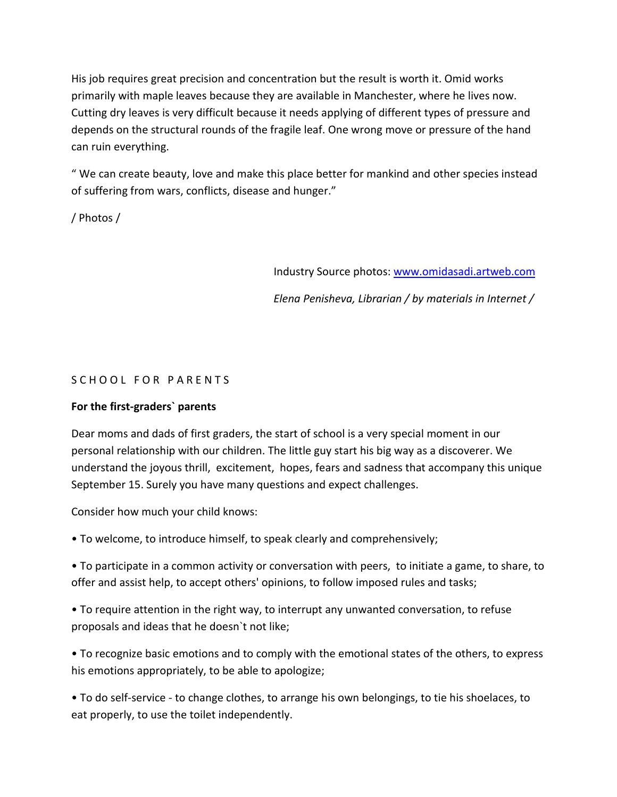His job requires great precision and concentration but the result is worth it. Omid works primarily with maple leaves because they are available in Manchester, where he lives now. Cutting dry leaves is very difficult because it needs applying of different types of pressure and depends on the structural rounds of the fragile leaf. One wrong move or pressure of the hand can ruin everything.

" We can create beauty, love and make this place better for mankind and other species instead of suffering from wars, conflicts, disease and hunger."

/ Photos /

Industry Source photos: [www.omidasadi.artweb.com](http://www.omidasadi.artweb.com/)

*Elena Penisheva, Librarian / by materials in Internet /*

#### S C H O O L F O R P A R E N T S

#### **For the first-graders` parents**

Dear moms and dads of first graders, the start of school is a very special moment in our personal relationship with our children. The little guy start his big way as a discoverer. We understand the joyous thrill, excitement, hopes, fears and sadness that accompany this unique September 15. Surely you have many questions and expect challenges.

Consider how much your child knows:

• To welcome, to introduce himself, to speak clearly and comprehensively;

• To participate in a common activity or conversation with peers, to initiate a game, to share, to offer and assist help, to accept others' opinions, to follow imposed rules and tasks;

• To require attention in the right way, to interrupt any unwanted conversation, to refuse proposals and ideas that he doesn`t not like;

• To recognize basic emotions and to comply with the emotional states of the others, to express his emotions appropriately, to be able to apologize;

• To do self-service - to change clothes, to arrange his own belongings, to tie his shoelaces, to eat properly, to use the toilet independently.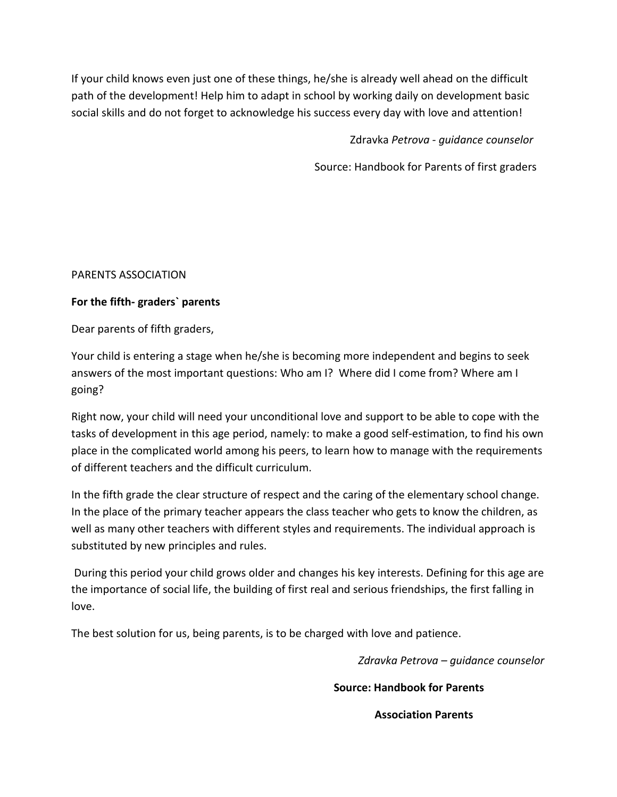If your child knows even just one of these things, he/she is already well ahead on the difficult path of the development! Help him to adapt in school by working daily on development basic social skills and do not forget to acknowledge his success every day with love and attention!

Zdravka *Petrova - guidance counselor*

Source: Handbook for Parents of first graders

## PARENTS ASSOCIATION

## **For the fifth- graders` parents**

Dear parents of fifth graders,

Your child is entering a stage when he/she is becoming more independent and begins to seek answers of the most important questions: Who am I? Where did I come from? Where am I going?

Right now, your child will need your unconditional love and support to be able to cope with the tasks of development in this age period, namely: to make a good self-estimation, to find his own place in the complicated world among his peers, to learn how to manage with the requirements of different teachers and the difficult curriculum.

In the fifth grade the clear structure of respect and the caring of the elementary school change. In the place of the primary teacher appears the class teacher who gets to know the children, as well as many other teachers with different styles and requirements. The individual approach is substituted by new principles and rules.

During this period your child grows older and changes his key interests. Defining for this age are the importance of social life, the building of first real and serious friendships, the first falling in love.

The best solution for us, being parents, is to be charged with love and patience.

*Zdravka Petrova – guidance counselor*

**Source: Handbook for Parents** 

 **Association Parents**